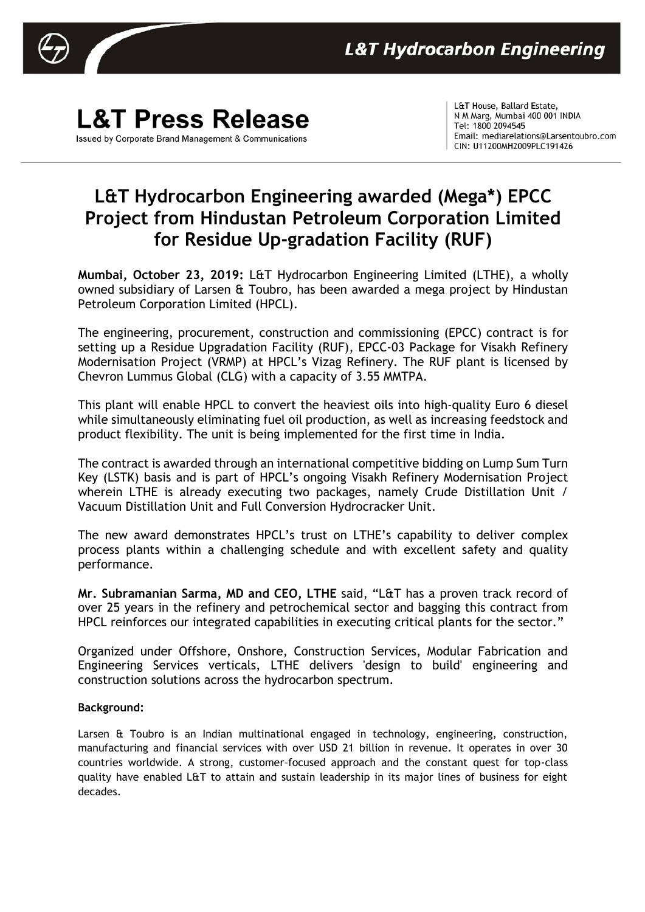

## **L&T Press Release** Issued by Corporate Brand Management & Communications

L&T House, Ballard Estate, N M Marg, Mumbai 400 001 INDIA Tel: 1800 2094545 Email: mediarelations@Larsentoubro.com CIN: U11200MH2009PLC191426

## **L&T Hydrocarbon Engineering awarded (Mega\*) EPCC Project from Hindustan Petroleum Corporation Limited for Residue Up-gradation Facility (RUF)**

**Mumbai, October 23, 2019:** L&T Hydrocarbon Engineering Limited (LTHE), a wholly owned subsidiary of Larsen & Toubro, has been awarded a mega project by Hindustan Petroleum Corporation Limited (HPCL).

The engineering, procurement, construction and commissioning (EPCC) contract is for setting up a Residue Upgradation Facility (RUF), EPCC-03 Package for Visakh Refinery Modernisation Project (VRMP) at HPCL's Vizag Refinery. The RUF plant is licensed by Chevron Lummus Global (CLG) with a capacity of 3.55 MMTPA.

This plant will enable HPCL to convert the heaviest oils into high-quality Euro 6 diesel while simultaneously eliminating fuel oil production, as well as increasing feedstock and product flexibility. The unit is being implemented for the first time in India.

The contract is awarded through an international competitive bidding on Lump Sum Turn Key (LSTK) basis and is part of HPCL's ongoing Visakh Refinery Modernisation Project wherein LTHE is already executing two packages, namely Crude Distillation Unit / Vacuum Distillation Unit and Full Conversion Hydrocracker Unit.

The new award demonstrates HPCL's trust on LTHE's capability to deliver complex process plants within a challenging schedule and with excellent safety and quality performance.

**Mr. Subramanian Sarma, MD and CEO, LTHE** said, "L&T has a proven track record of over 25 years in the refinery and petrochemical sector and bagging this contract from HPCL reinforces our integrated capabilities in executing critical plants for the sector."

Organized under Offshore, Onshore, Construction Services, Modular Fabrication and Engineering Services verticals, LTHE delivers 'design to build' engineering and construction solutions across the hydrocarbon spectrum.

## **Background:**

Larsen & Toubro is an Indian multinational engaged in technology, engineering, construction, manufacturing and financial services with over USD 21 billion in revenue. It operates in over 30 countries worldwide. A strong, customer–focused approach and the constant quest for top-class quality have enabled L&T to attain and sustain leadership in its major lines of business for eight decades.